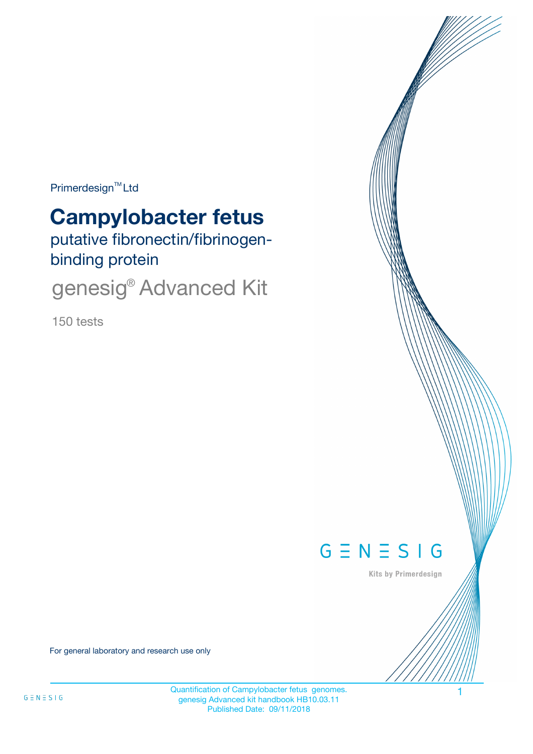$Primerdesign^{\text{TM}}$ Ltd

# **Campylobacter fetus**

putative fibronectin/fibrinogenbinding protein

genesig<sup>®</sup> Advanced Kit

150 tests



Kits by Primerdesign

For general laboratory and research use only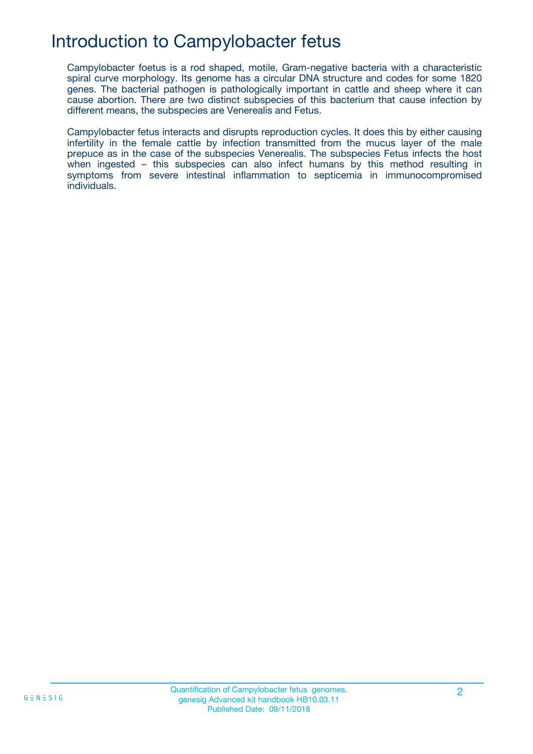## Introduction to Campylobacter fetus

Campylobacter foetus is a rod shaped, motile, Gram-negative bacteria with a characteristic spiral curve morphology. Its genome has a circular DNA structure and codes for some 1820 genes. The bacterial pathogen is pathologically important in cattle and sheep where it can cause abortion. There are two distinct subspecies of this bacterium that cause infection by different means, the subspecies are Venerealis and Fetus.

Campylobacter fetus interacts and disrupts reproduction cycles. It does this by either causing infertility in the female cattle by infection transmitted from the mucus layer of the male prepuce as in the case of the subspecies Venerealis. The subspecies Fetus infects the host when ingested – this subspecies can also infect humans by this method resulting in symptoms from severe intestinal inflammation to septicemia in immunocompromised individuals.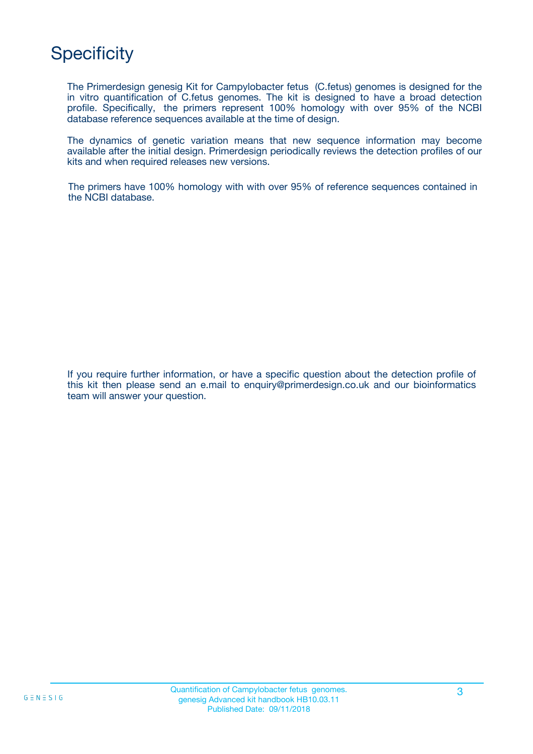## **Specificity**

The Primerdesign genesig Kit for Campylobacter fetus (C.fetus) genomes is designed for the in vitro quantification of C.fetus genomes. The kit is designed to have a broad detection profile. Specifically, the primers represent 100% homology with over 95% of the NCBI database reference sequences available at the time of design.

The dynamics of genetic variation means that new sequence information may become available after the initial design. Primerdesign periodically reviews the detection profiles of our kits and when required releases new versions.

The primers have 100% homology with with over 95% of reference sequences contained in the NCBI database.

If you require further information, or have a specific question about the detection profile of this kit then please send an e.mail to enquiry@primerdesign.co.uk and our bioinformatics team will answer your question.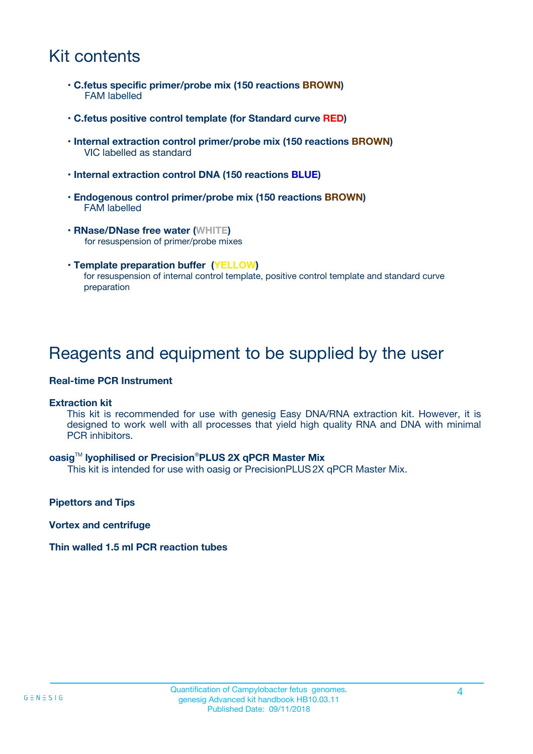## Kit contents

- **C.fetus specific primer/probe mix (150 reactions BROWN)** FAM labelled
- **C.fetus positive control template (for Standard curve RED)**
- **Internal extraction control primer/probe mix (150 reactions BROWN)** VIC labelled as standard
- **Internal extraction control DNA (150 reactions BLUE)**
- **Endogenous control primer/probe mix (150 reactions BROWN)** FAM labelled
- **RNase/DNase free water (WHITE)** for resuspension of primer/probe mixes
- **Template preparation buffer (YELLOW)** for resuspension of internal control template, positive control template and standard curve preparation

## Reagents and equipment to be supplied by the user

#### **Real-time PCR Instrument**

#### **Extraction kit**

This kit is recommended for use with genesig Easy DNA/RNA extraction kit. However, it is designed to work well with all processes that yield high quality RNA and DNA with minimal PCR inhibitors.

#### **oasig**TM **lyophilised or Precision**®**PLUS 2X qPCR Master Mix**

This kit is intended for use with oasig or PrecisionPLUS2X qPCR Master Mix.

**Pipettors and Tips**

**Vortex and centrifuge**

#### **Thin walled 1.5 ml PCR reaction tubes**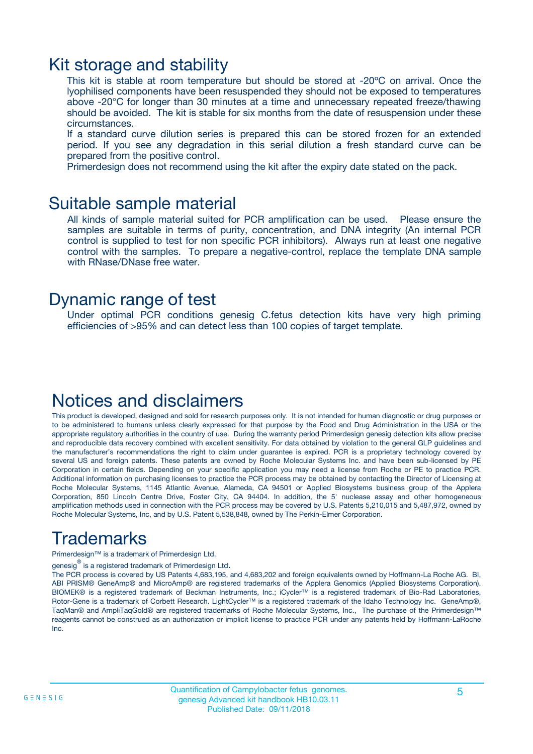### Kit storage and stability

This kit is stable at room temperature but should be stored at -20ºC on arrival. Once the lyophilised components have been resuspended they should not be exposed to temperatures above -20°C for longer than 30 minutes at a time and unnecessary repeated freeze/thawing should be avoided. The kit is stable for six months from the date of resuspension under these circumstances.

If a standard curve dilution series is prepared this can be stored frozen for an extended period. If you see any degradation in this serial dilution a fresh standard curve can be prepared from the positive control.

Primerdesign does not recommend using the kit after the expiry date stated on the pack.

### Suitable sample material

All kinds of sample material suited for PCR amplification can be used. Please ensure the samples are suitable in terms of purity, concentration, and DNA integrity (An internal PCR control is supplied to test for non specific PCR inhibitors). Always run at least one negative control with the samples. To prepare a negative-control, replace the template DNA sample with RNase/DNase free water.

### Dynamic range of test

Under optimal PCR conditions genesig C.fetus detection kits have very high priming efficiencies of >95% and can detect less than 100 copies of target template.

### Notices and disclaimers

This product is developed, designed and sold for research purposes only. It is not intended for human diagnostic or drug purposes or to be administered to humans unless clearly expressed for that purpose by the Food and Drug Administration in the USA or the appropriate regulatory authorities in the country of use. During the warranty period Primerdesign genesig detection kits allow precise and reproducible data recovery combined with excellent sensitivity. For data obtained by violation to the general GLP guidelines and the manufacturer's recommendations the right to claim under guarantee is expired. PCR is a proprietary technology covered by several US and foreign patents. These patents are owned by Roche Molecular Systems Inc. and have been sub-licensed by PE Corporation in certain fields. Depending on your specific application you may need a license from Roche or PE to practice PCR. Additional information on purchasing licenses to practice the PCR process may be obtained by contacting the Director of Licensing at Roche Molecular Systems, 1145 Atlantic Avenue, Alameda, CA 94501 or Applied Biosystems business group of the Applera Corporation, 850 Lincoln Centre Drive, Foster City, CA 94404. In addition, the 5' nuclease assay and other homogeneous amplification methods used in connection with the PCR process may be covered by U.S. Patents 5,210,015 and 5,487,972, owned by Roche Molecular Systems, Inc, and by U.S. Patent 5,538,848, owned by The Perkin-Elmer Corporation.

## Trademarks

Primerdesign™ is a trademark of Primerdesign Ltd.

genesig $^\circledR$  is a registered trademark of Primerdesign Ltd.

The PCR process is covered by US Patents 4,683,195, and 4,683,202 and foreign equivalents owned by Hoffmann-La Roche AG. BI, ABI PRISM® GeneAmp® and MicroAmp® are registered trademarks of the Applera Genomics (Applied Biosystems Corporation). BIOMEK® is a registered trademark of Beckman Instruments, Inc.; iCycler™ is a registered trademark of Bio-Rad Laboratories, Rotor-Gene is a trademark of Corbett Research. LightCycler™ is a registered trademark of the Idaho Technology Inc. GeneAmp®, TaqMan® and AmpliTaqGold® are registered trademarks of Roche Molecular Systems, Inc., The purchase of the Primerdesign™ reagents cannot be construed as an authorization or implicit license to practice PCR under any patents held by Hoffmann-LaRoche Inc.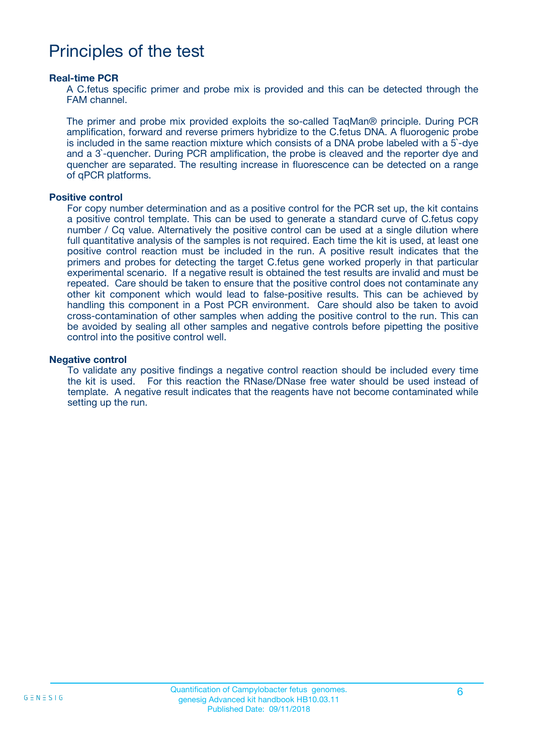## Principles of the test

#### **Real-time PCR**

A C.fetus specific primer and probe mix is provided and this can be detected through the FAM channel.

The primer and probe mix provided exploits the so-called TaqMan® principle. During PCR amplification, forward and reverse primers hybridize to the C.fetus DNA. A fluorogenic probe is included in the same reaction mixture which consists of a DNA probe labeled with a 5`-dye and a 3`-quencher. During PCR amplification, the probe is cleaved and the reporter dye and quencher are separated. The resulting increase in fluorescence can be detected on a range of qPCR platforms.

#### **Positive control**

For copy number determination and as a positive control for the PCR set up, the kit contains a positive control template. This can be used to generate a standard curve of C.fetus copy number / Cq value. Alternatively the positive control can be used at a single dilution where full quantitative analysis of the samples is not required. Each time the kit is used, at least one positive control reaction must be included in the run. A positive result indicates that the primers and probes for detecting the target C.fetus gene worked properly in that particular experimental scenario. If a negative result is obtained the test results are invalid and must be repeated. Care should be taken to ensure that the positive control does not contaminate any other kit component which would lead to false-positive results. This can be achieved by handling this component in a Post PCR environment. Care should also be taken to avoid cross-contamination of other samples when adding the positive control to the run. This can be avoided by sealing all other samples and negative controls before pipetting the positive control into the positive control well.

#### **Negative control**

To validate any positive findings a negative control reaction should be included every time the kit is used. For this reaction the RNase/DNase free water should be used instead of template. A negative result indicates that the reagents have not become contaminated while setting up the run.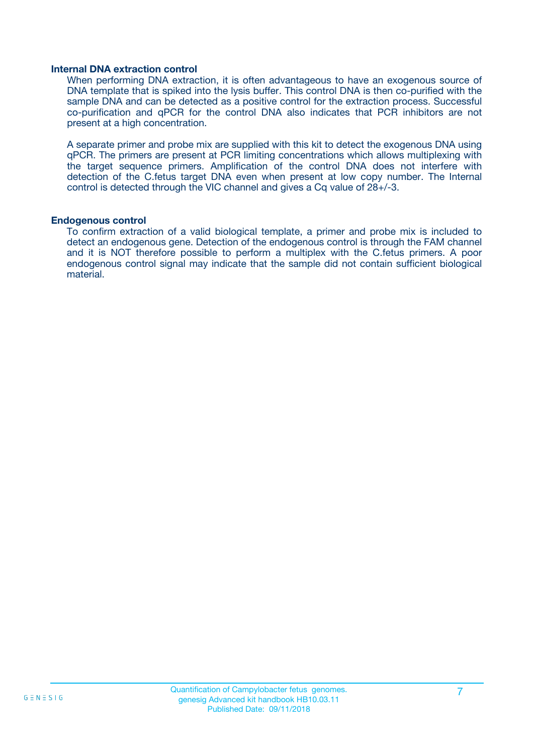#### **Internal DNA extraction control**

When performing DNA extraction, it is often advantageous to have an exogenous source of DNA template that is spiked into the lysis buffer. This control DNA is then co-purified with the sample DNA and can be detected as a positive control for the extraction process. Successful co-purification and qPCR for the control DNA also indicates that PCR inhibitors are not present at a high concentration.

A separate primer and probe mix are supplied with this kit to detect the exogenous DNA using qPCR. The primers are present at PCR limiting concentrations which allows multiplexing with the target sequence primers. Amplification of the control DNA does not interfere with detection of the C.fetus target DNA even when present at low copy number. The Internal control is detected through the VIC channel and gives a Cq value of 28+/-3.

#### **Endogenous control**

To confirm extraction of a valid biological template, a primer and probe mix is included to detect an endogenous gene. Detection of the endogenous control is through the FAM channel and it is NOT therefore possible to perform a multiplex with the C.fetus primers. A poor endogenous control signal may indicate that the sample did not contain sufficient biological material.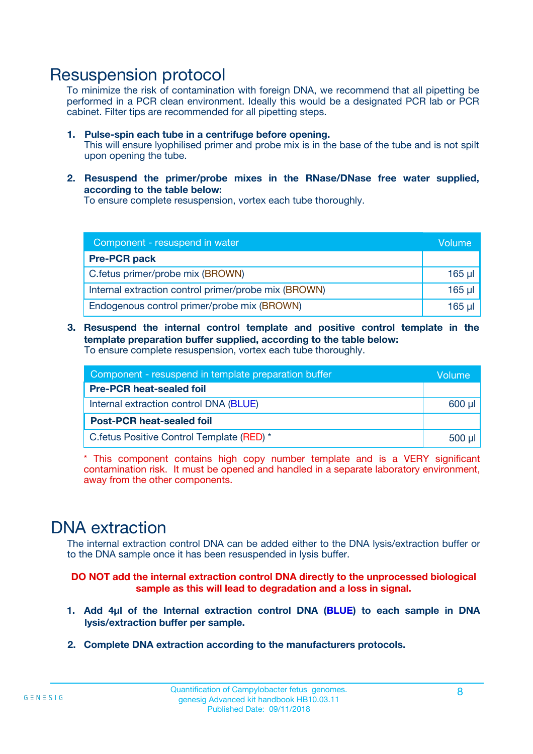### Resuspension protocol

To minimize the risk of contamination with foreign DNA, we recommend that all pipetting be performed in a PCR clean environment. Ideally this would be a designated PCR lab or PCR cabinet. Filter tips are recommended for all pipetting steps.

- **1. Pulse-spin each tube in a centrifuge before opening.** This will ensure lyophilised primer and probe mix is in the base of the tube and is not spilt upon opening the tube.
- **2. Resuspend the primer/probe mixes in the RNase/DNase free water supplied, according to the table below:**

To ensure complete resuspension, vortex each tube thoroughly.

| Component - resuspend in water                       |          |  |
|------------------------------------------------------|----------|--|
| <b>Pre-PCR pack</b>                                  |          |  |
| C.fetus primer/probe mix (BROWN)                     | $165$ µl |  |
| Internal extraction control primer/probe mix (BROWN) | $165$ µl |  |
| Endogenous control primer/probe mix (BROWN)          | 165 µl   |  |

**3. Resuspend the internal control template and positive control template in the template preparation buffer supplied, according to the table below:** To ensure complete resuspension, vortex each tube thoroughly.

| Component - resuspend in template preparation buffer |  |  |  |
|------------------------------------------------------|--|--|--|
| <b>Pre-PCR heat-sealed foil</b>                      |  |  |  |
| Internal extraction control DNA (BLUE)               |  |  |  |
| <b>Post-PCR heat-sealed foil</b>                     |  |  |  |
| C.fetus Positive Control Template (RED) *            |  |  |  |

\* This component contains high copy number template and is a VERY significant contamination risk. It must be opened and handled in a separate laboratory environment, away from the other components.

### DNA extraction

The internal extraction control DNA can be added either to the DNA lysis/extraction buffer or to the DNA sample once it has been resuspended in lysis buffer.

**DO NOT add the internal extraction control DNA directly to the unprocessed biological sample as this will lead to degradation and a loss in signal.**

- **1. Add 4µl of the Internal extraction control DNA (BLUE) to each sample in DNA lysis/extraction buffer per sample.**
- **2. Complete DNA extraction according to the manufacturers protocols.**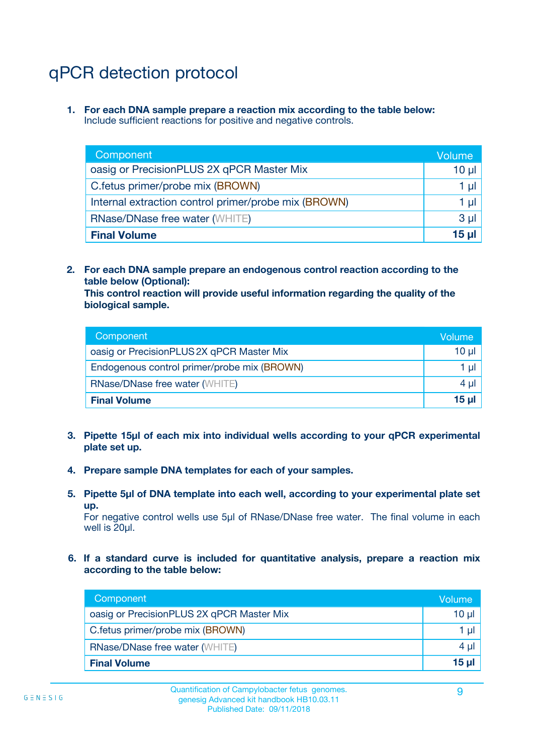## qPCR detection protocol

**1. For each DNA sample prepare a reaction mix according to the table below:** Include sufficient reactions for positive and negative controls.

| Component                                            | Volume   |
|------------------------------------------------------|----------|
| oasig or PrecisionPLUS 2X qPCR Master Mix            | $10 \mu$ |
| C.fetus primer/probe mix (BROWN)                     | 1 µI     |
| Internal extraction control primer/probe mix (BROWN) | 1 µl     |
| <b>RNase/DNase free water (WHITE)</b>                | $3 \mu$  |
| <b>Final Volume</b>                                  | 15 µl    |

**2. For each DNA sample prepare an endogenous control reaction according to the table below (Optional):**

**This control reaction will provide useful information regarding the quality of the biological sample.**

| Component                                   | Volume   |
|---------------------------------------------|----------|
| oasig or PrecisionPLUS 2X qPCR Master Mix   | $10 \mu$ |
| Endogenous control primer/probe mix (BROWN) | 1 µI     |
| <b>RNase/DNase free water (WHITE)</b>       | $4 \mu$  |
| <b>Final Volume</b>                         | 15 µl    |

- **3. Pipette 15µl of each mix into individual wells according to your qPCR experimental plate set up.**
- **4. Prepare sample DNA templates for each of your samples.**
- **5. Pipette 5µl of DNA template into each well, according to your experimental plate set up.**

For negative control wells use 5µl of RNase/DNase free water. The final volume in each well is 20ul.

**6. If a standard curve is included for quantitative analysis, prepare a reaction mix according to the table below:**

| Component                                 | Volume  |
|-------------------------------------------|---------|
| oasig or PrecisionPLUS 2X qPCR Master Mix | 10 µl   |
| C.fetus primer/probe mix (BROWN)          | 1 µI    |
| <b>RNase/DNase free water (WHITE)</b>     | $4 \mu$ |
| <b>Final Volume</b>                       | 15 µl   |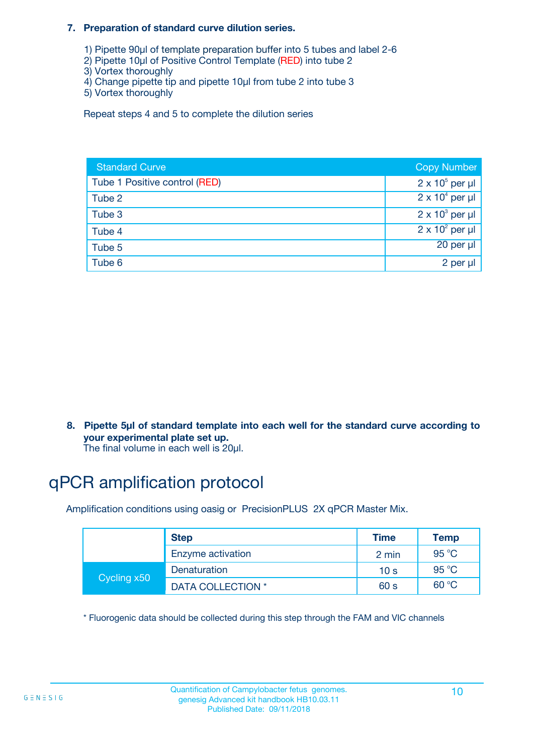#### **7. Preparation of standard curve dilution series.**

- 1) Pipette 90µl of template preparation buffer into 5 tubes and label 2-6
- 2) Pipette 10µl of Positive Control Template (RED) into tube 2
- 3) Vortex thoroughly
- 4) Change pipette tip and pipette 10µl from tube 2 into tube 3
- 5) Vortex thoroughly

Repeat steps 4 and 5 to complete the dilution series

| <b>Standard Curve</b>         | <b>Copy Number</b>     |
|-------------------------------|------------------------|
| Tube 1 Positive control (RED) | $2 \times 10^5$ per µl |
| Tube 2                        | $2 \times 10^4$ per µl |
| Tube 3                        | $2 \times 10^3$ per µl |
| Tube 4                        | $2 \times 10^2$ per µl |
| Tube 5                        | 20 per µl              |
| Tube 6                        | 2 per µl               |

**8. Pipette 5µl of standard template into each well for the standard curve according to your experimental plate set up.**

#### The final volume in each well is 20µl.

## qPCR amplification protocol

Amplification conditions using oasig or PrecisionPLUS 2X qPCR Master Mix.

|             | <b>Step</b>       | <b>Time</b>     | Temp    |
|-------------|-------------------|-----------------|---------|
|             | Enzyme activation | 2 min           | 95 °C   |
| Cycling x50 | Denaturation      | 10 <sub>s</sub> | 95 $°C$ |
|             | DATA COLLECTION * | 60 s            | 60 °C   |

\* Fluorogenic data should be collected during this step through the FAM and VIC channels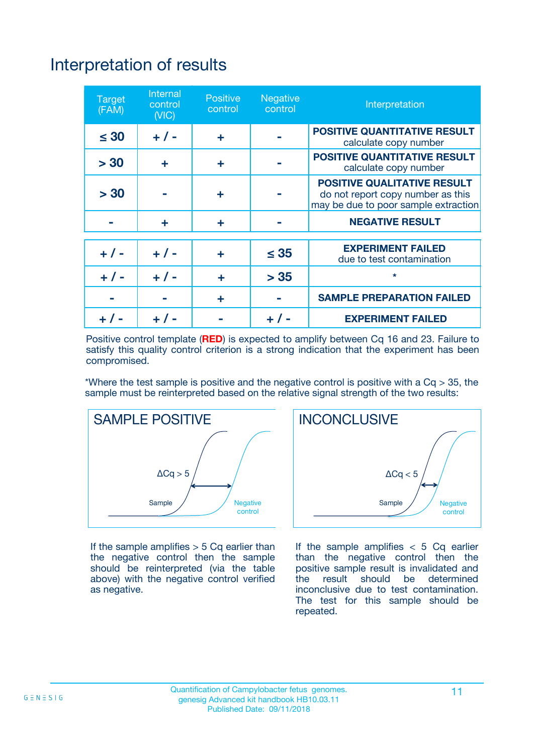## Interpretation of results

| <b>Target</b><br>(FAM) | <b>Internal</b><br>control<br>(NIC) | <b>Positive</b><br>control | <b>Negative</b><br>control | Interpretation                                                                                                  |
|------------------------|-------------------------------------|----------------------------|----------------------------|-----------------------------------------------------------------------------------------------------------------|
| $\leq 30$              | $+ 1 -$                             | ÷                          |                            | <b>POSITIVE QUANTITATIVE RESULT</b><br>calculate copy number                                                    |
| > 30                   | ٠                                   | ÷                          |                            | <b>POSITIVE QUANTITATIVE RESULT</b><br>calculate copy number                                                    |
| > 30                   |                                     | ÷                          |                            | <b>POSITIVE QUALITATIVE RESULT</b><br>do not report copy number as this<br>may be due to poor sample extraction |
|                        | ÷                                   | ÷                          |                            | <b>NEGATIVE RESULT</b>                                                                                          |
| $+ 1 -$                | $+ 1 -$                             | ÷                          | $\leq$ 35                  | <b>EXPERIMENT FAILED</b><br>due to test contamination                                                           |
| $+$ / -                | $+ 1 -$                             | ÷                          | > 35                       | $\star$                                                                                                         |
|                        |                                     | ÷                          |                            | <b>SAMPLE PREPARATION FAILED</b>                                                                                |
|                        |                                     |                            | $+$ /                      | <b>EXPERIMENT FAILED</b>                                                                                        |

Positive control template (**RED**) is expected to amplify between Cq 16 and 23. Failure to satisfy this quality control criterion is a strong indication that the experiment has been compromised.

\*Where the test sample is positive and the negative control is positive with a  $Ca > 35$ , the sample must be reinterpreted based on the relative signal strength of the two results:



If the sample amplifies  $> 5$  Cq earlier than the negative control then the sample should be reinterpreted (via the table above) with the negative control verified as negative.



If the sample amplifies  $< 5$  Cq earlier than the negative control then the positive sample result is invalidated and<br>the result should be determined  $the$  result should be inconclusive due to test contamination. The test for this sample should be repeated.